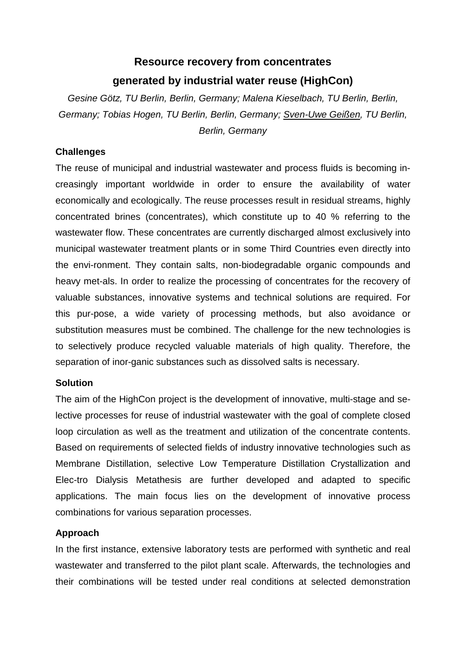## **Resource recovery from concentrates generated by industrial water reuse (HighCon)**

*Gesine Götz, TU Berlin, Berlin, Germany; Malena Kieselbach, TU Berlin, Berlin, Germany; Tobias Hogen, TU Berlin, Berlin, Germany; Sven-Uwe Geißen, TU Berlin, Berlin, Germany*

## **Challenges**

The reuse of municipal and industrial wastewater and process fluids is becoming increasingly important worldwide in order to ensure the availability of water economically and ecologically. The reuse processes result in residual streams, highly concentrated brines (concentrates), which constitute up to 40 % referring to the wastewater flow. These concentrates are currently discharged almost exclusively into municipal wastewater treatment plants or in some Third Countries even directly into the envi-ronment. They contain salts, non-biodegradable organic compounds and heavy met-als. In order to realize the processing of concentrates for the recovery of valuable substances, innovative systems and technical solutions are required. For this pur-pose, a wide variety of processing methods, but also avoidance or substitution measures must be combined. The challenge for the new technologies is to selectively produce recycled valuable materials of high quality. Therefore, the separation of inor-ganic substances such as dissolved salts is necessary.

## **Solution**

The aim of the HighCon project is the development of innovative, multi-stage and selective processes for reuse of industrial wastewater with the goal of complete closed loop circulation as well as the treatment and utilization of the concentrate contents. Based on requirements of selected fields of industry innovative technologies such as Membrane Distillation, selective Low Temperature Distillation Crystallization and Elec-tro Dialysis Metathesis are further developed and adapted to specific applications. The main focus lies on the development of innovative process combinations for various separation processes.

## **Approach**

In the first instance, extensive laboratory tests are performed with synthetic and real wastewater and transferred to the pilot plant scale. Afterwards, the technologies and their combinations will be tested under real conditions at selected demonstration